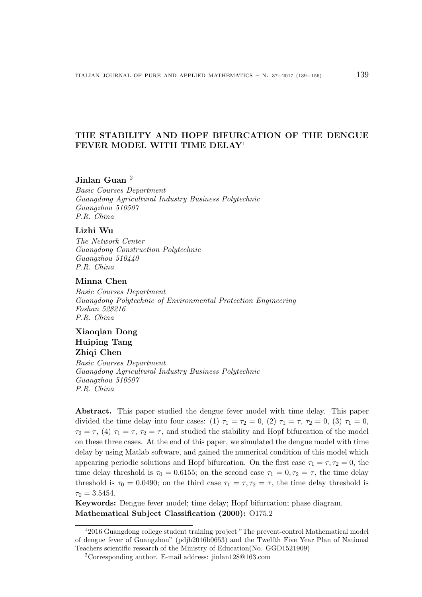# THE STABILITY AND HOPF BIFURCATION OF THE DENGUE FEVER MODEL WITH TIME DELAY<sup>1</sup>

## Jinlan Guan <sup>2</sup>

Basic Courses Department Guangdong Agricultural Industry Business Polytechnic Guangzhou 510507 P.R. China

#### Lizhi Wu

The Network Center Guangdong Construction Polytechnic Guangzhou 510440 P.R. China

#### Minna Chen

Basic Courses Department Guangdong Polytechnic of Environmental Protection Engineering Foshan 528216 P.R. China

# Xiaoqian Dong Huiping Tang Zhiqi Chen

Basic Courses Department Guangdong Agricultural Industry Business Polytechnic Guangzhou 510507 P.R. China

Abstract. This paper studied the dengue fever model with time delay. This paper divided the time delay into four cases: (1)  $\tau_1 = \tau_2 = 0$ , (2)  $\tau_1 = \tau$ ,  $\tau_2 = 0$ , (3)  $\tau_1 = 0$ ,  $\tau_2 = \tau$ , (4)  $\tau_1 = \tau$ ,  $\tau_2 = \tau$ , and studied the stability and Hopf bifurcation of the model on these three cases. At the end of this paper, we simulated the dengue model with time delay by using Matlab software, and gained the numerical condition of this model which appearing periodic solutions and Hopf bifurcation. On the first case  $\tau_1 = \tau, \tau_2 = 0$ , the time delay threshold is  $\tau_0 = 0.6155$ ; on the second case  $\tau_1 = 0, \tau_2 = \tau$ , the time delay threshold is  $\tau_0 = 0.0490$ ; on the third case  $\tau_1 = \tau, \tau_2 = \tau$ , the time delay threshold is  $\tau_0 = 3.5454.$ 

Keywords: Dengue fever model; time delay; Hopf bifurcation; phase diagram. Mathematical Subject Classification (2000): O175.2

<sup>1</sup>2016 Guangdong college student training project "The prevent-control Mathematical model of dengue fever of Guangzhou" (pdjh2016b0653) and the Twelfth Five Year Plan of National Teachers scientific research of the Ministry of Education(No. GGD1521909)

<sup>2</sup>Corresponding author. E-mail address: jinlan128@163.com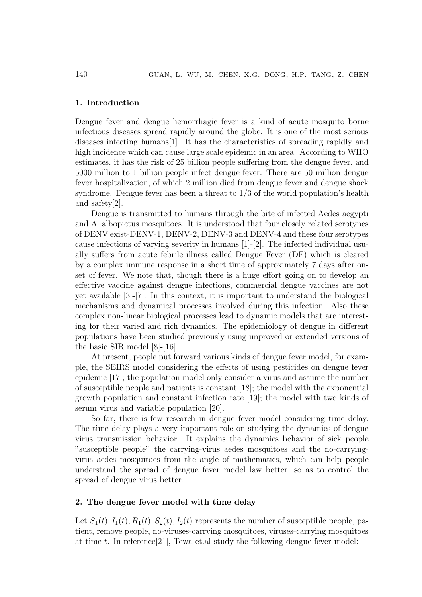#### 1. Introduction

Dengue fever and dengue hemorrhagic fever is a kind of acute mosquito borne infectious diseases spread rapidly around the globe. It is one of the most serious diseases infecting humans[1]. It has the characteristics of spreading rapidly and high incidence which can cause large scale epidemic in an area. According to WHO estimates, it has the risk of 25 billion people suffering from the dengue fever, and 5000 million to 1 billion people infect dengue fever. There are 50 million dengue fever hospitalization, of which 2 million died from dengue fever and dengue shock syndrome. Dengue fever has been a threat to 1/3 of the world population's health and safety[2].

Dengue is transmitted to humans through the bite of infected Aedes aegypti and A. albopictus mosquitoes. It is understood that four closely related serotypes of DENV exist-DENV-1, DENV-2, DENV-3 and DENV-4 and these four serotypes cause infections of varying severity in humans [1]-[2]. The infected individual usually suffers from acute febrile illness called Dengue Fever (DF) which is cleared by a complex immune response in a short time of approximately 7 days after onset of fever. We note that, though there is a huge effort going on to develop an effective vaccine against dengue infections, commercial dengue vaccines are not yet available [3]-[7]. In this context, it is important to understand the biological mechanisms and dynamical processes involved during this infection. Also these complex non-linear biological processes lead to dynamic models that are interesting for their varied and rich dynamics. The epidemiology of dengue in different populations have been studied previously using improved or extended versions of the basic SIR model [8]-[16].

At present, people put forward various kinds of dengue fever model, for example, the SEIRS model considering the effects of using pesticides on dengue fever epidemic [17]; the population model only consider a virus and assume the number of susceptible people and patients is constant [18]; the model with the exponential growth population and constant infection rate [19]; the model with two kinds of serum virus and variable population [20].

So far, there is few research in dengue fever model considering time delay. The time delay plays a very important role on studying the dynamics of dengue virus transmission behavior. It explains the dynamics behavior of sick people "susceptible people" the carrying-virus aedes mosquitoes and the no-carryingvirus aedes mosquitoes from the angle of mathematics, which can help people understand the spread of dengue fever model law better, so as to control the spread of dengue virus better.

#### 2. The dengue fever model with time delay

Let  $S_1(t)$ ,  $I_1(t)$ ,  $R_1(t)$ ,  $S_2(t)$ ,  $I_2(t)$  represents the number of susceptible people, patient, remove people, no-viruses-carrying mosquitoes, viruses-carrying mosquitoes at time t. In reference  $[21]$ , Tewa et.al study the following dengue fever model: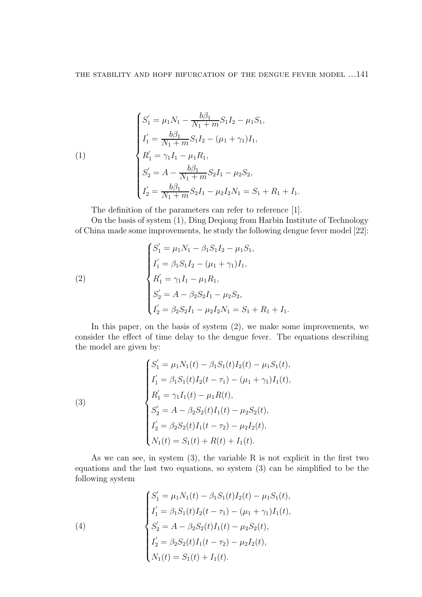(1)  
\n
$$
\begin{cases}\nS_1' = \mu_1 N_1 - \frac{b\beta_1}{N_1 + m} S_1 I_2 - \mu_1 S_1, \\
I_1' = \frac{b\beta_1}{N_1 + m} S_1 I_2 - (\mu_1 + \gamma_1) I_1, \\
R_1' = \gamma_1 I_1 - \mu_1 R_1, \\
S_2' = A - \frac{b\beta_1}{N_1 + m} S_2 I_1 - \mu_2 S_2, \\
I_2' = \frac{b\beta_1}{N_1 + m} S_2 I_1 - \mu_2 I_2 N_1 = S_1 + R_1 + I_1.\n\end{cases}
$$

The definition of the parameters can refer to reference [1].

On the basis of system (1), Ding Deqiong from Harbin Institute of Technology of China made some improvements, he study the following dengue fever model [22]:

(2)  
\n
$$
\begin{cases}\nS_1' = \mu_1 N_1 - \beta_1 S_1 I_2 - \mu_1 S_1, \\
I_1' = \beta_1 S_1 I_2 - (\mu_1 + \gamma_1) I_1, \\
R_1' = \gamma_1 I_1 - \mu_1 R_1, \\
S_2' = A - \beta_2 S_2 I_1 - \mu_2 S_2, \\
I_2' = \beta_2 S_2 I_1 - \mu_2 I_2 N_1 = S_1 + R_1 + I_1.\n\end{cases}
$$

In this paper, on the basis of system (2), we make some improvements, we consider the effect of time delay to the dengue fever. The equations describing the model are given by:

(3)  

$$
\begin{cases}\nS_1' = \mu_1 N_1(t) - \beta_1 S_1(t) I_2(t) - \mu_1 S_1(t), \\
I_1' = \beta_1 S_1(t) I_2(t - \tau_1) - (\mu_1 + \gamma_1) I_1(t), \\
R_1' = \gamma_1 I_1(t) - \mu_1 R(t), \\
S_2' = A - \beta_2 S_2(t) I_1(t) - \mu_2 S_2(t), \\
I_2' = \beta_2 S_2(t) I_1(t - \tau_2) - \mu_2 I_2(t), \\
N_1(t) = S_1(t) + R(t) + I_1(t).\n\end{cases}
$$

As we can see, in system (3), the variable R is not explicit in the first two equations and the last two equations, so system (3) can be simplified to be the following system

(4)  
\n
$$
\begin{cases}\nS_1' = \mu_1 N_1(t) - \beta_1 S_1(t) I_2(t) - \mu_1 S_1(t), \\
I_1' = \beta_1 S_1(t) I_2(t - \tau_1) - (\mu_1 + \gamma_1) I_1(t), \\
S_2' = A - \beta_2 S_2(t) I_1(t) - \mu_2 S_2(t), \\
I_2' = \beta_2 S_2(t) I_1(t - \tau_2) - \mu_2 I_2(t), \\
N_1(t) = S_1(t) + I_1(t).\n\end{cases}
$$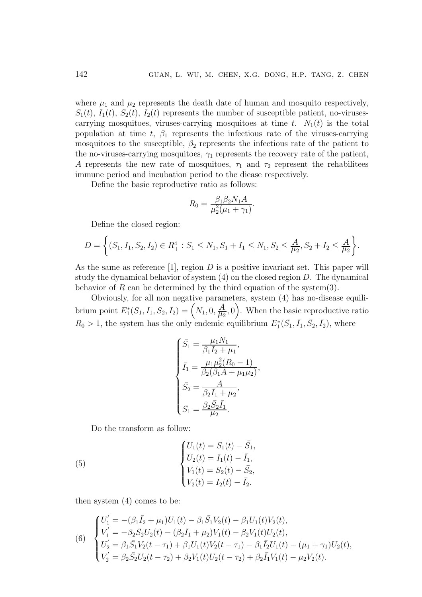where  $\mu_1$  and  $\mu_2$  represents the death date of human and mosquito respectively,  $S_1(t)$ ,  $I_1(t)$ ,  $S_2(t)$ ,  $I_2(t)$  represents the number of susceptible patient, no-virusescarrying mosquitoes, viruses-carrying mosquitoes at time t.  $N_1(t)$  is the total population at time t,  $\beta_1$  represents the infectious rate of the viruses-carrying mosquitoes to the susceptible,  $\beta_2$  represents the infectious rate of the patient to the no-viruses-carrying mosquitoes,  $\gamma_1$  represents the recovery rate of the patient, A represents the new rate of mosquitoes,  $\tau_1$  and  $\tau_2$  represent the rehabilitees immune period and incubation period to the diease respectively.

Define the basic reproductive ratio as follows:

$$
R_0 = \frac{\beta_1 \beta_2 N_1 A}{\mu_2^2 (\mu_1 + \gamma_1)}.
$$

Define the closed region:

$$
D = \left\{ (S_1, I_1, S_2, I_2) \in R_+^4 : S_1 \le N_1, S_1 + I_1 \le N_1, S_2 \le \frac{A}{\mu_2}, S_2 + I_2 \le \frac{A}{\mu_2} \right\}.
$$

As the same as reference [1], region  $D$  is a positive invariant set. This paper will study the dynamical behavior of system  $(4)$  on the closed region D. The dynamical behavior of R can be determined by the third equation of the system(3).

Obviously, for all non negative parameters, system (4) has no-disease equilibrium point  $E_1^*$  $\Lambda^*_1(S_1,I_1,S_2,I_2)=\Bigl(N_1,0,\frac{A}{\mu_2}\Bigr)$  $\left(\frac{A}{\mu_2},0\right)$ . When the basic reproductive ratio  $R_0 > 1$ , the system has the only endemic equilibrium  $E_1^*(\bar{S}_1, \bar{I}_1, \bar{S}_2, \bar{I}_2)$ , where

$$
\begin{cases}\n\bar{S}_1 = \frac{\mu_1 N_1}{\beta_1 \bar{I}_2 + \mu_1}, \\
\bar{I}_1 = \frac{\mu_1 \mu_2^2 (R_0 - 1)}{\beta_2 (\beta_1 A + \mu_1 \mu_2)}, \\
\bar{S}_2 = \frac{A}{\beta_2 \bar{I}_1 + \mu_2}, \\
\bar{S}_1 = \frac{\beta_2 \bar{S}_2 \bar{I}_1}{\mu_2}.\n\end{cases}
$$

,

Do the transform as follow:

(5) 
$$
\begin{cases} U_1(t) = S_1(t) - \bar{S}_1, \\ U_2(t) = I_1(t) - \bar{I}_1, \\ V_1(t) = S_2(t) - \bar{S}_2, \\ V_2(t) = I_2(t) - \bar{I}_2. \end{cases}
$$

then system (4) comes to be:

(6) 
$$
\begin{cases}\nU_1' = -(\beta_1 \bar{I}_2 + \mu_1)U_1(t) - \beta_1 \bar{S}_1 V_2(t) - \beta_1 U_1(t) V_2(t), \\
V_1' = -\beta_2 \bar{S}_2 U_2(t) - (\beta_2 \bar{I}_1 + \mu_2) V_1(t) - \beta_2 V_1(t) U_2(t), \\
U_2' = \beta_1 \bar{S}_1 V_2(t - \tau_1) + \beta_1 U_1(t) V_2(t - \tau_1) - \beta_1 \bar{I}_2 U_1(t) - (\mu_1 + \gamma_1) U_2(t), \\
V_2' = \beta_2 \bar{S}_2 U_2(t - \tau_2) + \beta_2 V_1(t) U_2(t - \tau_2) + \beta_2 \bar{I}_1 V_1(t) - \mu_2 V_2(t).\n\end{cases}
$$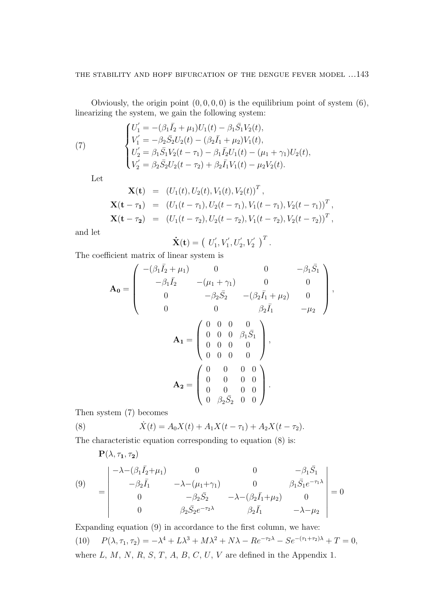Obviously, the origin point  $(0, 0, 0, 0)$  is the equilibrium point of system  $(6)$ , linearizing the system, we gain the following system:

(7) 
$$
\begin{cases}\nU'_1 = -(\beta_1 \bar{I}_2 + \mu_1) U_1(t) - \beta_1 \bar{S}_1 V_2(t), \\
V'_1 = -\beta_2 \bar{S}_2 U_2(t) - (\beta_2 \bar{I}_1 + \mu_2) V_1(t), \\
U'_2 = \beta_1 \bar{S}_1 V_2(t - \tau_1) - \beta_1 \bar{I}_2 U_1(t) - (\mu_1 + \gamma_1) U_2(t), \\
V'_2 = \beta_2 \bar{S}_2 U_2(t - \tau_2) + \beta_2 \bar{I}_1 V_1(t) - \mu_2 V_2(t).\n\end{cases}
$$

Let

$$
\mathbf{X(t)} = (U_1(t), U_2(t), V_1(t), V_2(t))^T,
$$
  
\n
$$
\mathbf{X(t - \tau_1)} = (U_1(t - \tau_1), U_2(t - \tau_1), V_1(t - \tau_1), V_2(t - \tau_1))^T,
$$
  
\n
$$
\mathbf{X(t - \tau_2)} = (U_1(t - \tau_2), U_2(t - \tau_2), V_1(t - \tau_2), V_2(t - \tau_2))^T,
$$

and let

$$
\dot{\mathbf{X}}(\mathbf{t}) = (U'_1, V'_1, U'_2, V'_2)^T.
$$

The coefficient matrix of linear system is

$$
\mathbf{A_0} = \begin{pmatrix}\n-(\beta_1 \bar{I}_2 + \mu_1) & 0 & 0 & -\beta_1 \bar{S}_1 \\
-\beta_1 \bar{I}_2 & -(\mu_1 + \gamma_1) & 0 & 0 \\
0 & -\beta_2 \bar{S}_2 & -(\beta_2 \bar{I}_1 + \mu_2) & 0 \\
0 & 0 & \beta_2 \bar{I}_1 & -\mu_2\n\end{pmatrix},
$$
\n
$$
\mathbf{A_1} = \begin{pmatrix}\n0 & 0 & 0 & 0 \\
0 & 0 & 0 & \beta_1 \bar{S}_1 \\
0 & 0 & 0 & 0 \\
0 & 0 & 0 & 0 \\
0 & 0 & 0 & 0\n\end{pmatrix},
$$
\n
$$
\mathbf{A_2} = \begin{pmatrix}\n0 & 0 & 0 & 0 \\
0 & 0 & 0 & 0 \\
0 & 0 & 0 & 0 \\
0 & \beta_2 \bar{S}_2 & 0 & 0\n\end{pmatrix}.
$$

Then system (7) becomes

(8) 
$$
\dot{X}(t) = A_0 X(t) + A_1 X(t - \tau_1) + A_2 X(t - \tau_2).
$$

The characteristic equation corresponding to equation (8) is:

$$
\begin{aligned}\n\mathbf{P}(\lambda, \tau_1, \tau_2) \\
(9) \quad &= \begin{vmatrix}\n-\lambda - (\beta_1 \bar{I}_2 + \mu_1) & 0 & 0 & -\beta_1 \bar{S}_1 \\
-\beta_2 \bar{I}_1 & -\lambda - (\mu_1 + \gamma_1) & 0 & \beta_1 \bar{S}_1 e^{-\tau_1 \lambda} \\
0 & -\beta_2 \bar{S}_2 & -\lambda - (\beta_2 \bar{I}_1 + \mu_2) & 0 \\
0 & \beta_2 \bar{S}_2 e^{-\tau_2 \lambda} & \beta_2 \bar{I}_1 & -\lambda - \mu_2\n\end{vmatrix} = 0\n\end{aligned}
$$

Expanding equation (9) in accordance to the first column, we have: (10)  $P(\lambda, \tau_1, \tau_2) = -\lambda^4 + L\lambda^3 + M\lambda^2 + N\lambda - Re^{-\tau_2\lambda} - Se^{-(\tau_1 + \tau_2)\lambda} + T = 0,$ where  $L, M, N, R, S, T, A, B, C, U, V$  are defined in the Appendix 1.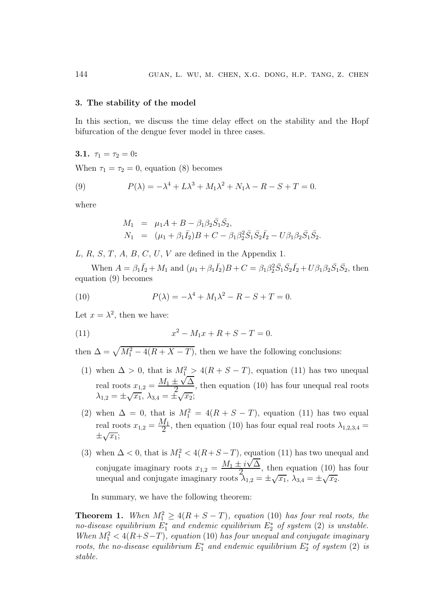#### 3. The stability of the model

In this section, we discuss the time delay effect on the stability and the Hopf bifurcation of the dengue fever model in three cases.

**3.1.** 
$$
\tau_1 = \tau_2 = 0
$$
:

When  $\tau_1 = \tau_2 = 0$ , equation (8) becomes

(9) 
$$
P(\lambda) = -\lambda^4 + L\lambda^3 + M_1\lambda^2 + N_1\lambda - R - S + T = 0.
$$

where

$$
M_1 = \mu_1 A + B - \beta_1 \beta_2 \bar{S}_1 \bar{S}_2,
$$
  
\n
$$
N_1 = (\mu_1 + \beta_1 \bar{I}_2)B + C - \beta_1 \beta_2^2 \bar{S}_1 \bar{S}_2 \bar{I}_2 - U \beta_1 \beta_2 \bar{S}_1 \bar{S}_2.
$$

L, R, S, T, A, B, C, U, V are defined in the Appendix 1.

When  $A = \beta_1 \bar{I}_2 + M_1$  and  $(\mu_1 + \beta_1 \bar{I}_2)B + C = \beta_1 \beta_2^2 \bar{S}_1 \bar{S}_2 \bar{I}_2 + U \beta_1 \beta_2 \bar{S}_1 \bar{S}_2$ , then equation (9) becomes

(10) 
$$
P(\lambda) = -\lambda^4 + M_1 \lambda^2 - R - S + T = 0.
$$

Let  $x = \lambda^2$ , then we have:

(11) 
$$
x^2 - M_1 x + R + S - T = 0.
$$

then  $\Delta = \sqrt{M_1^2 - 4(R + X - T)}$ , then we have the following conclusions:

- (1) when  $\Delta > 0$ , that is  $M_1^2 > 4(R + S T)$ , equation (11) has two unequal real roots  $x_{1,2} = \frac{M_1 \pm \sqrt{\Delta}}{2}$  $\frac{1}{2}$   $\frac{1}{2}$ , then equation (10) has four unequal real roots  $\lambda_{1,2} = \pm \sqrt{x_1}, \ \lambda_{3,4} = \pm \sqrt{x_2};$
- (2) when  $\Delta = 0$ , that is  $M_1^2 = 4(R + S T)$ , equation (11) has two equal real roots  $x_{1,2} = \frac{M_1}{2}$ , then equation (10) has four equal real roots  $\lambda_{1,2,3,4} =$  $\pm\sqrt{x_1}$ ;
- (3) when  $\Delta < 0$ , that is  $M_1^2 < 4(R+S-T)$ , equation (11) has two unequal and conjugate imaginary roots  $x_{1,2} = \frac{M_1 \pm i\sqrt{\Delta}}{2}$  $\frac{-i \sqrt{2}}{2}$ , then equation (10) has four unequal and conjugate imaginary roots  $\lambda_{1,2} = \pm \sqrt{x_1}$ ,  $\lambda_{3,4} = \pm \sqrt{x_2}$ .

In summary, we have the following theorem:

**Theorem 1.** When  $M_1^2 \geq 4(R+S-T)$ , equation (10) has four real roots, the no-disease equilibrium  $E_1^*$  and endemic equilibrium  $E_2^*$  of system (2) is unstable. When  $M_1^2 < 4(R+S-T)$ , equation (10) has four unequal and conjugate imaginary roots, the no-disease equilibrium  $E_1^*$  and endemic equilibrium  $E_2^*$  of system (2) is stable.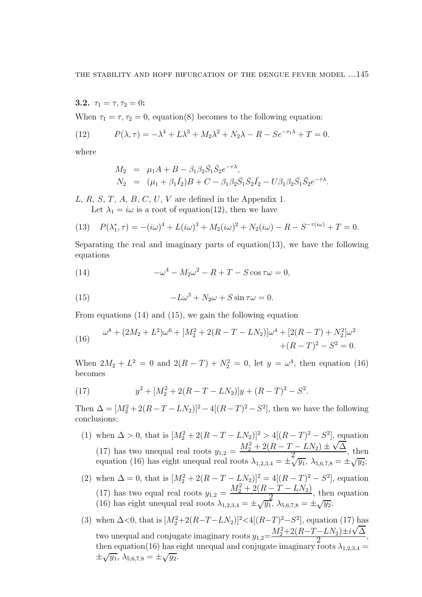3.2.  $\tau_1 = \tau, \tau_2 = 0$ :

When  $\tau_1 = \tau, \tau_2 = 0$ , equation(8) becomes to the following equation:

(12) 
$$
P(\lambda, \tau) = -\lambda^4 + L\lambda^3 + M_2\lambda^2 + N_2\lambda - R - Se^{-\tau_1\lambda} + T = 0.
$$

where

$$
M_2 = \mu_1 A + B - \beta_1 \beta_2 \bar{S}_1 \bar{S}_2 e^{-\tau \lambda},
$$
  
\n
$$
N_2 = (\mu_1 + \beta_1 \bar{I}_2)B + C - \beta_1 \beta_2 \bar{S}_1 \bar{S}_2 \bar{I}_2 - U \beta_1 \beta_2 \bar{S}_1 \bar{S}_2 e^{-\tau \lambda}.
$$

L, R, S, T, A, B, C, U, V are defined in the Appendix 1. Let  $\lambda_1 = i\omega$  is a root of equation(12), then we have

(13) 
$$
P(\lambda_1^*, \tau) = -(i\omega)^4 + L(i\omega)^3 + M_2(i\omega)^2 + N_2(i\omega) - R - S^{-\tau(i\omega)} + T = 0.
$$

Separating the real and imaginary parts of equation(13), we have the following equations

(14) 
$$
-\omega^4 - M_2 \omega^2 - R + T - S \cos \tau \omega = 0,
$$

(15) 
$$
-L\omega^3 + N_2\omega + S\sin \tau \omega = 0.
$$

From equations (14) and (15), we gain the following equation

(16) 
$$
\omega^8 + (2M_2 + L^2)\omega^6 + [M_2^2 + 2(R - T - LN_2)]\omega^4 + [2(R - T) + N_2^2]\omega^2 + (R - T)^2 - S^2 = 0.
$$

When  $2M_2 + L^2 = 0$  and  $2(R - T) + N_2^2 = 0$ , let  $y = \omega^4$ , then equation (16) becomes

(17) 
$$
y^2 + [M_2^2 + 2(R - T - LN_2)]y + (R - T)^2 - S^2.
$$

Then  $\Delta = [M_2^2 + 2(R - T - LN_2)]^2 - 4[(R - T)^2 - S^2]$ , then we have the following conclusions:

(1) when  $\Delta > 0$ , that is  $[M_2^2 + 2(R - T - LN_2)]^2 > 4[(R - T)^2 - S^2]$ , equation (17) has two unequal real roots  $y_{1,2} = \frac{M_2^2 + 2(R - T - LN_2) \pm \sqrt{\Delta}}{2}$  $\frac{2L(v_2) + v_1}{2}$ , then equation (16) has eight unequal real roots  $\lambda_{1,2,3,4} = \pm \sqrt{y_1}$ ,  $\lambda_{5,6,7,8} = \pm \sqrt{y_2}$ ; (2) when  $\Delta = 0$ , that is  $[M_2^2 + 2(R - T - LN_2)]^2 = 4[(R - T)^2 - S^2]$ , equation (17) has two equal real roots  $y_{1,2} = \frac{M_2^2 + 2(R - T - LN_2)}{2}$  $\frac{1}{2}$ , then equation

(16) has eight unequal real roots 
$$
\lambda_{1,2,3,4} = \pm \sqrt{y_1}
$$
,  $\lambda_{5,6,7,8} = \pm \sqrt{y_2}$ ;

(3) when 
$$
\Delta < 0
$$
, that is  $[M_2^2 + 2(R - T - LN_2)]^2 < 4[(R - T)^2 - S^2]$ , equation (17) has  
two unequal and conjugate imaginary roots  $y_{1,2} = \frac{M_2^2 + 2(R - T - LN_2) \pm i\sqrt{\Delta}}{2}$ ,  
then equation (16) has eight unequal and conjugate imaginary roots  $\lambda_{1,2,3,4} = \pm \sqrt{y_1}$ ,  $\lambda_{5,6,7,8} = \pm \sqrt{y_2}$ .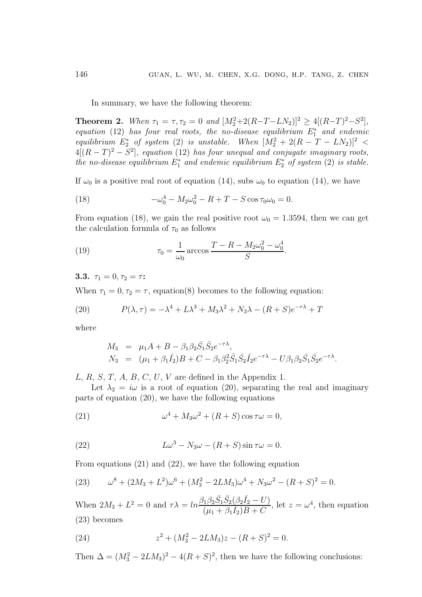In summary, we have the following theorem:

**Theorem 2.** When  $\tau_1 = \tau, \tau_2 = 0$  and  $[M_2^2 + 2(R - T - LN_2)]^2 \ge 4[(R - T)^2 - S^2]$ , equation (12) has four real roots, the no-disease equilibrium  $E_1^*$  and endemic equilibrium  $E_2^*$  of system (2) is unstable. When  $[M_2^2 + 2(R - T - LN_2)]^2$  <  $4[(R-T)^2 - S^2]$ , equation (12) has four unequal and conjugate imaginary roots, the no-disease equilibrium  $E_1^*$  and endemic equilibrium  $E_2^*$  of system (2) is stable.

If  $\omega_0$  is a positive real root of equation (14), subs  $\omega_0$  to equation (14), we have

(18) 
$$
-\omega_0^4 - M_2 \omega_0^2 - R + T - S \cos \tau_0 \omega_0 = 0.
$$

From equation (18), we gain the real positive root  $\omega_0 = 1.3594$ , then we can get the calculation formula of  $\tau_0$  as follows

(19) 
$$
\tau_0 = \frac{1}{\omega_0} \arccos \frac{T - R - M_2 \omega_0^2 - \omega_0^4}{S}.
$$

3.3.  $\tau_1 = 0, \tau_2 = \tau$ :

When  $\tau_1 = 0, \tau_2 = \tau$ , equation(8) becomes to the following equation:

(20) 
$$
P(\lambda, \tau) = -\lambda^4 + L\lambda^3 + M_3\lambda^2 + N_3\lambda - (R+S)e^{-\tau\lambda} + T
$$

where

$$
M_3 = \mu_1 A + B - \beta_1 \beta_2 \bar{S}_1 \bar{S}_2 e^{-\tau \lambda},
$$
  
\n
$$
N_3 = (\mu_1 + \beta_1 \bar{I}_2)B + C - \beta_1 \beta_2^2 \bar{S}_1 \bar{S}_2 \bar{I}_2 e^{-\tau \lambda} - U \beta_1 \beta_2 \bar{S}_1 \bar{S}_2 e^{-\tau \lambda}.
$$

L, R, S, T, A, B, C, U, V are defined in the Appendix 1.

Let  $\lambda_2 = i\omega$  is a root of equation (20), separating the real and imaginary parts of equation (20), we have the following equations

(21) 
$$
\omega^4 + M_3 \omega^2 + (R+S) \cos \tau \omega = 0,
$$

(22) 
$$
L\omega^3 - N_3\omega - (R+S)\sin \tau \omega = 0.
$$

From equations (21) and (22), we have the following equation

(23) 
$$
\omega^8 + (2M_3 + L^2)\omega^6 + (M_3^2 - 2LM_3)\omega^4 + N_3\omega^2 - (R+S)^2 = 0.
$$

When  $2M_3 + L^2 = 0$  and  $\tau \lambda = ln \frac{\beta_1 \beta_2 \bar{S}_1 \bar{S}_2 (\beta_2 \bar{I}_2 - U)}{(\mu + \beta \bar{I}) B + C}$  $(\mu_1 + \beta_1 \bar{I}_2)B + C$ , let  $z = \omega^4$ , then equation (23) becomes

(24) 
$$
z^2 + (M_3^2 - 2LM_3)z - (R+S)^2 = 0.
$$

Then  $\Delta = (M_3^2 - 2LM_3)^2 - 4(R+S)^2$ , then we have the following conclusions: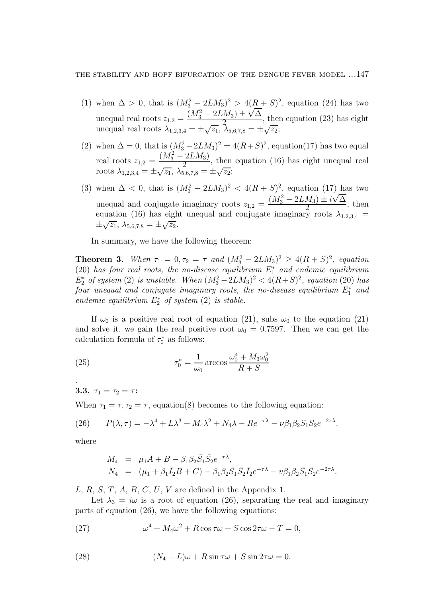- (1) when  $\Delta > 0$ , that is  $(M_3^2 2LM_3)^2 > 4(R + S)^2$ , equation (24) has two unequal real roots  $z_{1,2} = \frac{(M_3^2 - 2LM_3) \pm \sqrt{\Delta}}{2}$  $\frac{2m_3 + v_1}{2}$ , then equation (23) has eight unequal real roots  $\lambda_{1,2,3,4} = \pm \sqrt{z_1}, \lambda_{5,6,7,8} = \pm \sqrt{z_2};$
- (2) when  $\Delta = 0$ , that is  $(M_3^2 2LM_3)^2 = 4(R+S)^2$ , equation(17) has two equal real roots  $z_{1,2} = \frac{(M_3^2 - 2LM_3)}{2}$  $\frac{2L_1}{2}$ , then equation (16) has eight unequal real roots  $\lambda_{1,2,3,4} = \pm \sqrt{z_1}, \lambda_{5,6,7,8}^2 = \pm \sqrt{z_2};$
- (3) when  $\Delta < 0$ , that is  $(M_3^2 2LM_3)^2 < 4(R+S)^2$ , equation (17) has two unequal and conjugate imaginary roots  $z_{1,2} = \frac{(M_3^2 - 2LM_3) \pm i\sqrt{\Delta}}{2}$  $\frac{2}{2}$ , then equation (16) has eight unequal and conjugate imaginary roots  $\lambda_{1,2,3,4}$  =  $\pm \sqrt{z_1}, \lambda_{5,6,7,8} = \pm \sqrt{z_2}.$

In summary, we have the following theorem:

**Theorem 3.** When  $\tau_1 = 0, \tau_2 = \tau$  and  $(M_3^2 - 2LM_3)^2 \ge 4(R+S)^2$ , equation (20) has four real roots, the no-disease equilibrium  $E_1^*$  and endemic equilibrium  $E_2^*$  of system (2) is unstable. When  $(M_3^2-2LM_3)^2 < 4(R+S)^2$ , equation (20) has  $\tilde{f}$  and  $\tilde{f}$  and  $\tilde{f}$  conjugate imaginary roots, the no-disease equilibrium  $E_1^*$  and endemic equilibrium  $E_2^*$  of system (2) is stable.

If  $\omega_0$  is a positive real root of equation (21), subs  $\omega_0$  to the equation (21) and solve it, we gain the real positive root  $\omega_0 = 0.7597$ . Then we can get the calculation formula of  $\tau_0^*$  $_{0}^{*}$  as follows:

(25) 
$$
\tau_0^* = \frac{1}{\omega_0} \arccos \frac{\omega_0^4 + M_3 \omega_0^2}{R+S}
$$

3.3.  $\tau_1 = \tau_2 = \tau$ :

When  $\tau_1 = \tau, \tau_2 = \tau$ , equation(8) becomes to the following equation:

(26) 
$$
P(\lambda, \tau) = -\lambda^4 + L\lambda^3 + M_4\lambda^2 + N_4\lambda - Re^{-\tau\lambda} - \nu\beta_1\beta_2S_1S_2e^{-2\tau\lambda}.
$$

where

.

$$
M_4 = \mu_1 A + B - \beta_1 \beta_2 \bar{S}_1 \bar{S}_2 e^{-\tau \lambda},
$$
  
\n
$$
N_4 = (\mu_1 + \beta_1 \bar{I}_2 B + C) - \beta_1 \beta_2 \bar{S}_1 \bar{S}_2 \bar{I}_2 e^{-\tau \lambda} - \nu \beta_1 \beta_2 \bar{S}_1 \bar{S}_2 e^{-2\tau \lambda}.
$$

L, R, S, T, A, B, C, U, V are defined in the Appendix 1.

Let  $\lambda_3 = i\omega$  is a root of equation (26), separating the real and imaginary parts of equation (26), we have the following equations:

(27) 
$$
\omega^4 + M_4 \omega^2 + R \cos \tau \omega + S \cos 2\tau \omega - T = 0,
$$

(28) 
$$
(N_4 - L)\omega + R\sin \tau \omega + S\sin 2\tau \omega = 0.
$$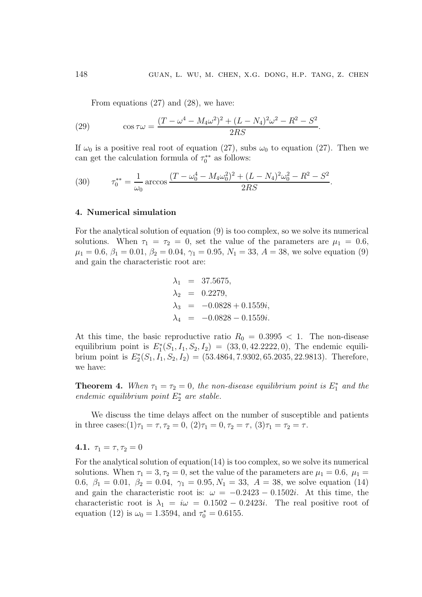From equations (27) and (28), we have:

(29) 
$$
\cos \tau \omega = \frac{(T - \omega^4 - M_4 \omega^2)^2 + (L - N_4)^2 \omega^2 - R^2 - S^2}{2RS}.
$$

If  $\omega_0$  is a positive real root of equation (27), subs  $\omega_0$  to equation (27). Then we can get the calculation formula of  $\tau_0^*$  $_{0}^{**}$  as follows:

(30) 
$$
\tau_0^{**} = \frac{1}{\omega_0} \arccos \frac{(T - \omega_0^4 - M_4 \omega_0^2)^2 + (L - N_4)^2 \omega_0^2 - R^2 - S^2}{2RS}.
$$

#### 4. Numerical simulation

For the analytical solution of equation (9) is too complex, so we solve its numerical solutions. When  $\tau_1 = \tau_2 = 0$ , set the value of the parameters are  $\mu_1 = 0.6$ ,  $\mu_1 = 0.6, \beta_1 = 0.01, \beta_2 = 0.04, \gamma_1 = 0.95, N_1 = 33, A = 38$ , we solve equation (9) and gain the characteristic root are:

$$
\lambda_1 = 37.5675,
$$
  
\n
$$
\lambda_2 = 0.2279,
$$
  
\n
$$
\lambda_3 = -0.0828 + 0.1559i,
$$
  
\n
$$
\lambda_4 = -0.0828 - 0.1559i.
$$

At this time, the basic reproductive ratio  $R_0 = 0.3995 < 1$ . The non-disease equilibrium point is  $E_1^*(S_1, I_1, S_2, I_2) = (33, 0, 42.2222, 0)$ , The endemic equilibrium point is  $E_2^*(S_1, I_1, S_2, I_2) = (53.4864, 7.9302, 65.2035, 22.9813)$ . Therefore, we have:

**Theorem 4.** When  $\tau_1 = \tau_2 = 0$ , the non-disease equilibrium point is  $E_1^*$  and the endemic equilibrium point  $E_2^*$  are stable.

We discuss the time delays affect on the number of susceptible and patients in three cases: $(1)\tau_1 = \tau, \tau_2 = 0, (2)\tau_1 = 0, \tau_2 = \tau, (3)\tau_1 = \tau_2 = \tau$ .

## 4.1.  $\tau_1 = \tau, \tau_2 = 0$

For the analytical solution of equation(14) is too complex, so we solve its numerical solutions. When  $\tau_1 = 3, \tau_2 = 0$ , set the value of the parameters are  $\mu_1 = 0.6$ ,  $\mu_1 =$ 0.6,  $\beta_1 = 0.01$ ,  $\beta_2 = 0.04$ ,  $\gamma_1 = 0.95$ ,  $N_1 = 33$ ,  $A = 38$ , we solve equation (14) and gain the characteristic root is:  $\omega = -0.2423 - 0.1502i$ . At this time, the characteristic root is  $\lambda_1 = i\omega = 0.1502 - 0.2423i$ . The real positive root of equation (12) is  $\omega_0 = 1.3594$ , and  $\tau_0^* = 0.6155$ .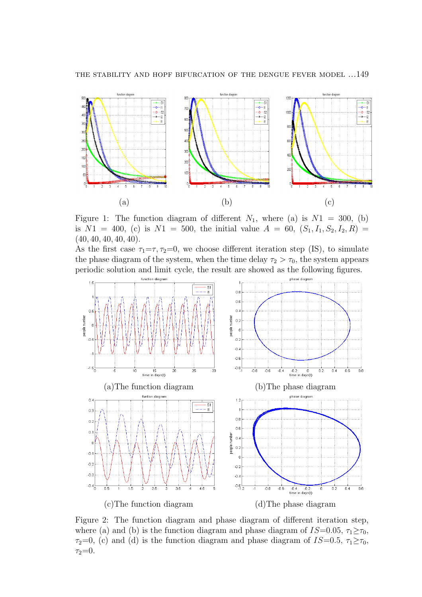

Figure 1: The function diagram of different  $N_1$ , where (a) is  $N1 = 300$ , (b) is  $N1 = 400$ , (c) is  $N1 = 500$ , the initial value  $A = 60$ ,  $(S_1, I_1, S_2, I_2, R) =$  $(40, 40, 40, 40, 40)$ .

As the first case  $\tau_1 = \tau$ ,  $\tau_2 = 0$ , we choose different iteration step (IS), to simulate the phase diagram of the system, when the time delay  $\tau_2 > \tau_0$ , the system appears periodic solution and limit cycle, the result are showed as the following figures.



Figure 2: The function diagram and phase diagram of different iteration step, where (a) and (b) is the function diagram and phase diagram of  $IS=0.05$ ,  $\tau_1 \geq \tau_0$ ,  $\tau_2=0$ , (c) and (d) is the function diagram and phase diagram of IS=0.5,  $\tau_1 \geq \tau_0$ ,  $\tau_2 = 0$ .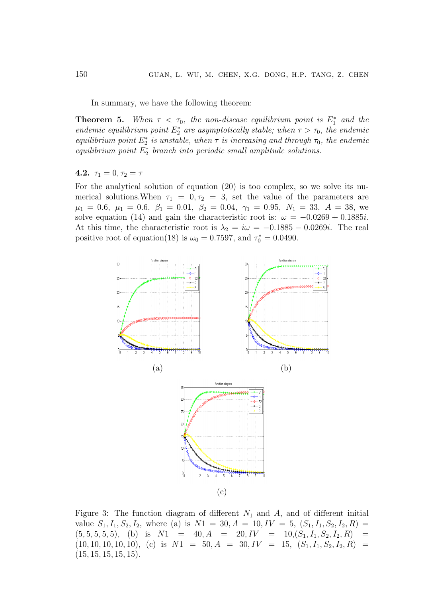In summary, we have the following theorem:

**Theorem 5.** When  $\tau < \tau_0$ , the non-disease equilibrium point is  $E_1^*$  and the endemic equilibrium point  $E_2^*$  are asymptotically stable; when  $\tau > \tau_0$ , the endemic equilibrium point  $E_2^*$  is unstable, when  $\tau$  is increasing and through  $\tau_0$ , the endemic equilibrium point  $E_2^*$  branch into periodic small amplitude solutions.

## 4.2.  $\tau_1 = 0, \tau_2 = \tau$

For the analytical solution of equation (20) is too complex, so we solve its numerical solutions. When  $\tau_1 = 0, \tau_2 = 3$ , set the value of the parameters are  $\mu_1 = 0.6, \mu_1 = 0.6, \beta_1 = 0.01, \beta_2 = 0.04, \gamma_1 = 0.95, N_1 = 33, A = 38,$  we solve equation (14) and gain the characteristic root is:  $\omega = -0.0269 + 0.1885i$ . At this time, the characteristic root is  $\lambda_2 = i\omega = -0.1885 - 0.0269i$ . The real positive root of equation(18) is  $\omega_0 = 0.7597$ , and  $\tau_0^* = 0.0490$ .



Figure 3: The function diagram of different  $N_1$  and  $A$ , and of different initial value  $S_1, I_1, S_2, I_2$ , where (a) is  $N1 = 30, A = 10, IV = 5, (S_1, I_1, S_2, I_2, R)$  $(5, 5, 5, 5, 5)$ , (b) is  $N1 = 40, A = 20, IV = 10, (S_1, I_1, S_2, I_2, R) =$  $(10, 10, 10, 10, 10)$ , (c) is  $N1 = 50$ ,  $A = 30$ ,  $IV = 15$ ,  $(S_1, I_1, S_2, I_2, R) =$  $(15, 15, 15, 15, 15).$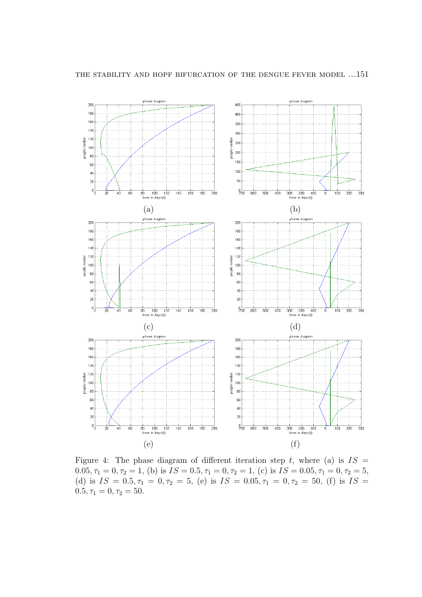

Figure 4: The phase diagram of different iteration step t, where (a) is  $IS =$ 0.05,  $\tau_1 = 0$ ,  $\tau_2 = 1$ , (b) is  $\overline{IS} = 0.5$ ,  $\tau_1 = 0$ ,  $\tau_2 = 1$ , (c) is  $\overline{IS} = 0.05$ ,  $\tau_1 = 0$ ,  $\tau_2 = 5$ , (d) is  $IS = 0.5, \tau_1 = 0, \tau_2 = 5$ , (e) is  $IS = 0.05, \tau_1 = 0, \tau_2 = 50$ , (f) is  $IS =$  $0.5, \tau_1 = 0, \tau_2 = 50.$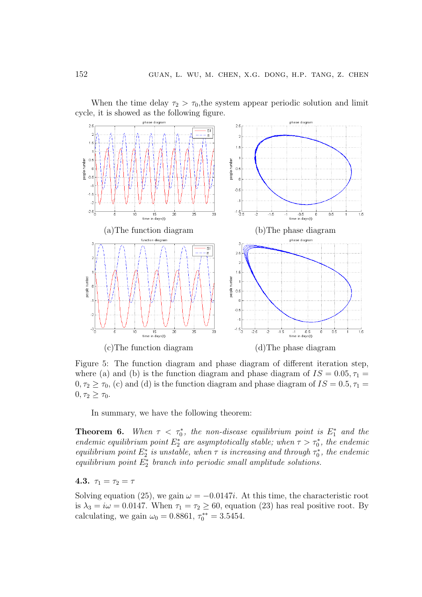

When the time delay  $\tau_2 > \tau_0$ , the system appear periodic solution and limit cycle, it is showed as the following figure.

Figure 5: The function diagram and phase diagram of different iteration step, where (a) and (b) is the function diagram and phase diagram of  $IS = 0.05, \tau_1 =$  $0, \tau_2 \ge \tau_0$ , (c) and (d) is the function diagram and phase diagram of  $IS = 0.5, \tau_1 =$  $0, \tau_2 \geq \tau_0$ .

In summary, we have the following theorem:

**Theorem 6.** When  $\tau < \tau_0^*$ , the non-disease equilibrium point is  $E_1^*$  and the endemic equilibrium point  $E_2^*$  are asymptotically stable; when  $\tau > \tau_0^*$ , the endemic equilibrium point  $E_2^*$  is unstable, when  $\tau$  is increasing and through  $\tau_0^*$  $\delta$ , the endemic equilibrium point  $E_2^*$  branch into periodic small amplitude solutions.

# 4.3.  $\tau_1 = \tau_2 = \tau$

Solving equation (25), we gain  $\omega = -0.0147i$ . At this time, the characteristic root is  $\lambda_3 = i\omega = 0.0147$ . When  $\tau_1 = \tau_2 \ge 60$ , equation (23) has real positive root. By calculating, we gain  $\omega_0 = 0.8861, \tau_0^{**} = 3.5454.$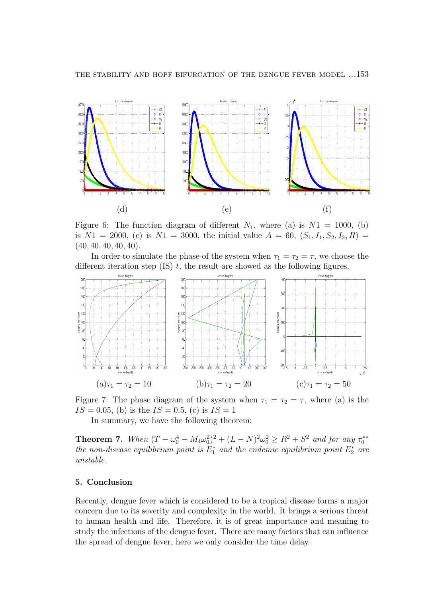

Figure 6: The function diagram of different  $N_1$ , where (a) is  $N1 = 1000$ , (b) is  $N1 = 2000$ , (c) is  $N1 = 3000$ , the initial value  $A = 60$ ,  $(S_1, I_1, S_2, I_2, R) =$  $(40, 40, 40, 40, 40)$ .

In order to simulate the phase of the system when  $\tau_1 = \tau_2 = \tau$ , we choose the different iteration step  $(IS)$  t, the result are showed as the following figures.



Figure 7: The phase diagram of the system when  $\tau_1 = \tau_2 = \tau$ , where (a) is the  $IS = 0.05$ , (b) is the  $IS = 0.5$ , (c) is  $IS = 1$ 

In summary, we have the following theorem:

**Theorem 7.** When  $(T - \omega_0^4 - M_4 \omega_0^2)^2 + (L - N)^2 \omega_0^2 \ge R^2 + S^2$  and for any  $\tau_0^{**}$ 0 the non-disease equilibrium point is  $E_1^*$  and the endemic equilibrium point  $E_2^*$  are unstable.

#### 5. Conclusion

Recently, dengue fever which is considered to be a tropical disease forms a major concern due to its severity and complexity in the world. It brings a serious threat to human health and life. Therefore, it is of great importance and meaning to study the infections of the dengue fever. There are many factors that can influence the spread of dengue fever, here we only consider the time delay.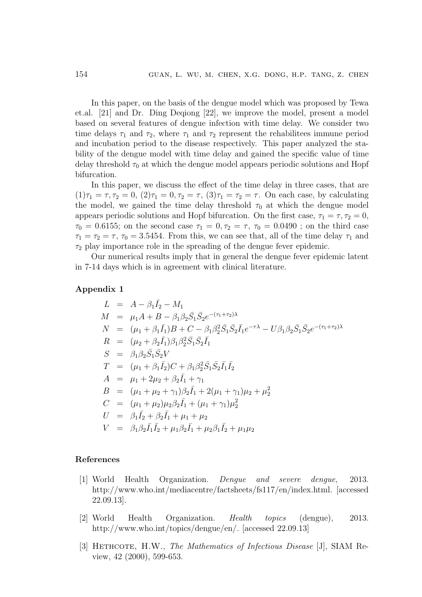In this paper, on the basis of the dengue model which was proposed by Tewa et.al. [21] and Dr. Ding Deqiong [22], we improve the model, present a model based on several features of dengue infection with time delay. We consider two time delays  $\tau_1$  and  $\tau_2$ , where  $\tau_1$  and  $\tau_2$  represent the rehabilitees immune period and incubation period to the disease respectively. This paper analyzed the stability of the dengue model with time delay and gained the specific value of time delay threshold  $\tau_0$  at which the dengue model appears periodic solutions and Hopf bifurcation.

In this paper, we discuss the effect of the time delay in three cases, that are  $(1)\tau_1 = \tau, \tau_2 = 0, (2)\tau_1 = 0, \tau_2 = \tau, (3)\tau_1 = \tau_2 = \tau$ . On each case, by calculating the model, we gained the time delay threshold  $\tau_0$  at which the dengue model appears periodic solutions and Hopf bifurcation. On the first case,  $\tau_1 = \tau$ ,  $\tau_2 = 0$ ,  $\tau_0 = 0.6155$ ; on the second case  $\tau_1 = 0, \tau_2 = \tau, \tau_0 = 0.0490$ ; on the third case  $\tau_1 = \tau_2 = \tau$ ,  $\tau_0 = 3.5454$ . From this, we can see that, all of the time delay  $\tau_1$  and  $\tau_2$  play importance role in the spreading of the dengue fever epidemic.

Our numerical results imply that in general the dengue fever epidemic latent in 7-14 days which is in agreement with clinical literature.

#### Appendix 1

$$
L = A - \beta_1 \bar{I}_2 - M_1
$$
  
\n
$$
M = \mu_1 A + B - \beta_1 \beta_2 \bar{S}_1 \bar{S}_2 e^{-(\tau_1 + \tau_2)\lambda}
$$
  
\n
$$
N = (\mu_1 + \beta_1 \bar{I}_1)B + C - \beta_1 \beta_2^2 \bar{S}_1 \bar{S}_2 \bar{I}_1 e^{-\tau \lambda} - U \beta_1 \beta_2 \bar{S}_1 \bar{S}_2 e^{-(\tau_1 + \tau_2)\lambda}
$$
  
\n
$$
R = (\mu_2 + \beta_2 \bar{I}_1) \beta_1 \beta_2^2 \bar{S}_1 \bar{S}_2 \bar{I}_1
$$
  
\n
$$
S = \beta_1 \beta_2 \bar{S}_1 \bar{S}_2 V
$$
  
\n
$$
T = (\mu_1 + \beta_1 \bar{I}_2)C + \beta_1 \beta_2^2 \bar{S}_1 \bar{S}_2 \bar{I}_1 \bar{I}_2
$$
  
\n
$$
A = \mu_1 + 2\mu_2 + \beta_2 \bar{I}_1 + \gamma_1
$$
  
\n
$$
B = (\mu_1 + \mu_2 + \gamma_1) \beta_2 \bar{I}_1 + 2(\mu_1 + \gamma_1) \mu_2 + \mu_2^2
$$
  
\n
$$
C = (\mu_1 + \mu_2) \mu_2 \beta_2 \bar{I}_1 + (\mu_1 + \gamma_1) \mu_2^2
$$
  
\n
$$
U = \beta_1 \bar{I}_2 + \beta_2 \bar{I}_1 + \mu_1 + \mu_2
$$
  
\n
$$
V = \beta_1 \beta_2 \bar{I}_1 \bar{I}_2 + \mu_1 \beta_2 \bar{I}_1 + \mu_2 \beta_1 \bar{I}_2 + \mu_1 \mu_2
$$

#### References

- [1] World Health Organization. Dengue and severe dengue, 2013. http://www.who.int/mediacentre/factsheets/fs117/en/index.html. [accessed 22.09.13].
- [2] World Health Organization. Health topics (dengue), 2013. http://www.who.int/topics/dengue/en/. [accessed 22.09.13]
- [3] HETHCOTE, H.W., The Mathematics of Infectious Disease [J], SIAM Review, 42 (2000), 599-653.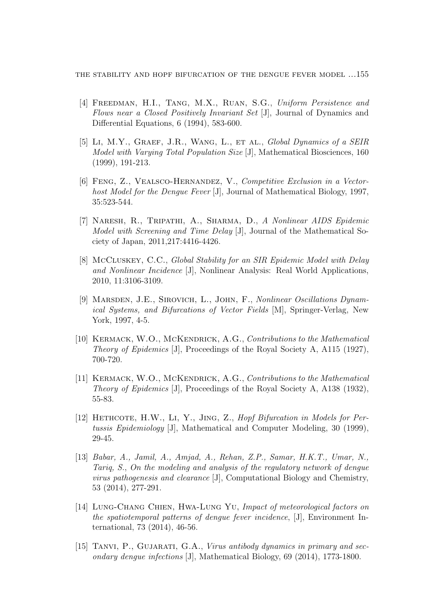the stability and hopf bifurcation of the dengue fever model ...155

- [4] FREEDMAN, H.I., TANG, M.X., RUAN, S.G., Uniform Persistence and Flows near a Closed Positively Invariant Set [J], Journal of Dynamics and Differential Equations, 6 (1994), 583-600.
- [5] Li, M.Y., Graef, J.R., Wang, L., et al., Global Dynamics of a SEIR Model with Varying Total Population Size [J], Mathematical Biosciences, 160 (1999), 191-213.
- [6] Feng, Z., Vealsco-Hernandez, V., Competitive Exclusion in a Vectorhost Model for the Dengue Fever [J], Journal of Mathematical Biology, 1997, 35:523-544.
- [7] Naresh, R., Tripathi, A., Sharma, D., A Nonlinear AIDS Epidemic Model with Screening and Time Delay [J], Journal of the Mathematical Society of Japan, 2011,217:4416-4426.
- [8] McCluskey, C.C., Global Stability for an SIR Epidemic Model with Delay and Nonlinear Incidence [J], Nonlinear Analysis: Real World Applications, 2010, 11:3106-3109.
- [9] MARSDEN, J.E., SIROVICH, L., JOHN, F., Nonlinear Oscillations Dynamical Systems, and Bifurcations of Vector Fields [M], Springer-Verlag, New York, 1997, 4-5.
- [10] KERMACK, W.O., MCKENDRICK, A.G., Contributions to the Mathematical Theory of Epidemics [J], Proceedings of the Royal Society A, A115 (1927), 700-720.
- [11] KERMACK, W.O., MCKENDRICK, A.G., Contributions to the Mathematical Theory of Epidemics [J], Proceedings of the Royal Society A, A138 (1932), 55-83.
- [12] HETHCOTE, H.W., LI, Y., JING, Z., Hopf Bifurcation in Models for Pertussis Epidemiology [J], Mathematical and Computer Modeling, 30 (1999), 29-45.
- [13] Babar, A., Jamil, A., Amjad, A., Rehan, Z.P., Samar, H.K.T., Umar, N., Tariq, S., On the modeling and analysis of the regulatory network of dengue virus pathogenesis and clearance [J], Computational Biology and Chemistry, 53 (2014), 277-291.
- [14] LUNG-CHANG CHIEN, HWA-LUNG YU, Impact of meteorological factors on the spatiotemporal patterns of dengue fever incidence, [J], Environment International, 73 (2014), 46-56.
- [15] TANVI, P., GUJARATI, G.A., Virus antibody dynamics in primary and secondary dengue infections [J], Mathematical Biology, 69 (2014), 1773-1800.